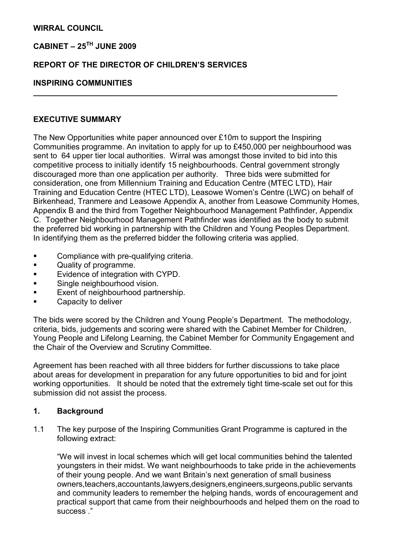### WIRRAL COUNCIL

# CABINET –  $25^{TH}$  JUNE 2009

### REPORT OF THE DIRECTOR OF CHILDREN'S SERVICES

#### INSPIRING COMMUNITIES

#### EXECUTIVE SUMMARY

The New Opportunities white paper announced over £10m to support the Inspiring Communities programme. An invitation to apply for up to £450,000 per neighbourhood was sent to 64 upper tier local authorities. Wirral was amongst those invited to bid into this competitive process to initially identify 15 neighbourhoods. Central government strongly discouraged more than one application per authority. Three bids were submitted for consideration, one from Millennium Training and Education Centre (MTEC LTD), Hair Training and Education Centre (HTEC LTD), Leasowe Women's Centre (LWC) on behalf of Birkenhead, Tranmere and Leasowe Appendix A, another from Leasowe Community Homes, Appendix B and the third from Together Neighbourhood Management Pathfinder, Appendix C. Together Neighbourhood Management Pathfinder was identified as the body to submit the preferred bid working in partnership with the Children and Young Peoples Department. In identifying them as the preferred bidder the following criteria was applied.

 $\overline{\phantom{a}}$  , and the contract of the contract of the contract of the contract of the contract of the contract of the contract of the contract of the contract of the contract of the contract of the contract of the contrac

- **•** Compliance with pre-qualifying criteria.
- Quality of programme.
- Evidence of integration with CYPD.
- **•** Single neighbourhood vision.
- **Exent of neighbourhood partnership.**
- Capacity to deliver

The bids were scored by the Children and Young People's Department. The methodology, criteria, bids, judgements and scoring were shared with the Cabinet Member for Children, Young People and Lifelong Learning, the Cabinet Member for Community Engagement and the Chair of the Overview and Scrutiny Committee.

Agreement has been reached with all three bidders for further discussions to take place about areas for development in preparation for any future opportunities to bid and for joint working opportunities. It should be noted that the extremely tight time-scale set out for this submission did not assist the process.

## 1. Background

1.1 The key purpose of the Inspiring Communities Grant Programme is captured in the following extract:

 "We will invest in local schemes which will get local communities behind the talented youngsters in their midst. We want neighbourhoods to take pride in the achievements of their young people. And we want Britain's next generation of small business owners,teachers,accountants,lawyers,designers,engineers,surgeons,public servants and community leaders to remember the helping hands, words of encouragement and practical support that came from their neighbourhoods and helped them on the road to success ."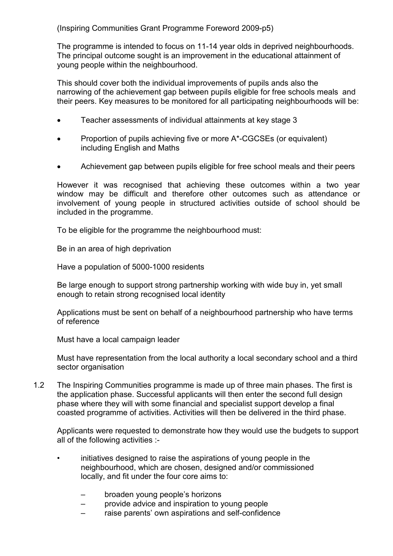(Inspiring Communities Grant Programme Foreword 2009-p5)

 The programme is intended to focus on 11-14 year olds in deprived neighbourhoods. The principal outcome sought is an improvement in the educational attainment of young people within the neighbourhood.

 This should cover both the individual improvements of pupils ands also the narrowing of the achievement gap between pupils eligible for free schools meals and their peers. Key measures to be monitored for all participating neighbourhoods will be:

- Teacher assessments of individual attainments at key stage 3
- Proportion of pupils achieving five or more A\*-CGCSEs (or equivalent) including English and Maths
- Achievement gap between pupils eligible for free school meals and their peers

 However it was recognised that achieving these outcomes within a two year window may be difficult and therefore other outcomes such as attendance or involvement of young people in structured activities outside of school should be included in the programme.

To be eligible for the programme the neighbourhood must:

Be in an area of high deprivation

Have a population of 5000-1000 residents

 Be large enough to support strong partnership working with wide buy in, yet small enough to retain strong recognised local identity

 Applications must be sent on behalf of a neighbourhood partnership who have terms of reference

Must have a local campaign leader

 Must have representation from the local authority a local secondary school and a third sector organisation

1.2 The Inspiring Communities programme is made up of three main phases. The first is the application phase. Successful applicants will then enter the second full design phase where they will with some financial and specialist support develop a final coasted programme of activities. Activities will then be delivered in the third phase.

 Applicants were requested to demonstrate how they would use the budgets to support all of the following activities :-

- initiatives designed to raise the aspirations of young people in the neighbourhood, which are chosen, designed and/or commissioned locally, and fit under the four core aims to:
	- broaden young people's horizons
	- provide advice and inspiration to young people
	- raise parents' own aspirations and self-confidence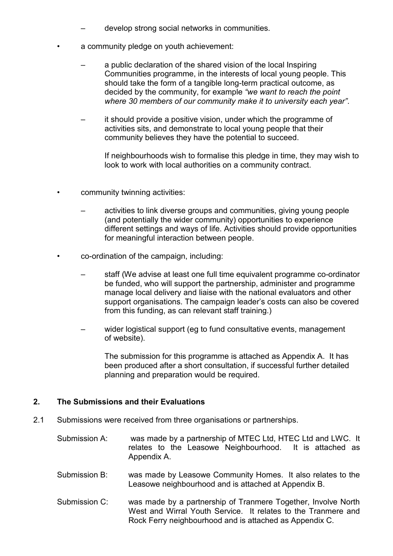- develop strong social networks in communities.
- a community pledge on youth achievement:
	- a public declaration of the shared vision of the local Inspiring Communities programme, in the interests of local young people. This should take the form of a tangible long-term practical outcome, as decided by the community, for example "we want to reach the point where 30 members of our community make it to university each year".
	- it should provide a positive vision, under which the programme of activities sits, and demonstrate to local young people that their community believes they have the potential to succeed.

 If neighbourhoods wish to formalise this pledge in time, they may wish to look to work with local authorities on a community contract.

- community twinning activities:
	- activities to link diverse groups and communities, giving young people (and potentially the wider community) opportunities to experience different settings and ways of life. Activities should provide opportunities for meaningful interaction between people.
- co-ordination of the campaign, including:
	- staff (We advise at least one full time equivalent programme co-ordinator be funded, who will support the partnership, administer and programme manage local delivery and liaise with the national evaluators and other support organisations. The campaign leader's costs can also be covered from this funding, as can relevant staff training.)
	- wider logistical support (eg to fund consultative events, management of website).

 The submission for this programme is attached as Appendix A. It has been produced after a short consultation, if successful further detailed planning and preparation would be required.

### 2. The Submissions and their Evaluations

- 2.1 Submissions were received from three organisations or partnerships.
	- Submission A: was made by a partnership of MTEC Ltd, HTEC Ltd and LWC. It relates to the Leasowe Neighbourhood. It is attached as Appendix A.
	- Submission B: was made by Leasowe Community Homes. It also relates to the Leasowe neighbourhood and is attached at Appendix B.
	- Submission C: was made by a partnership of Tranmere Together, Involve North West and Wirral Youth Service. It relates to the Tranmere and Rock Ferry neighbourhood and is attached as Appendix C.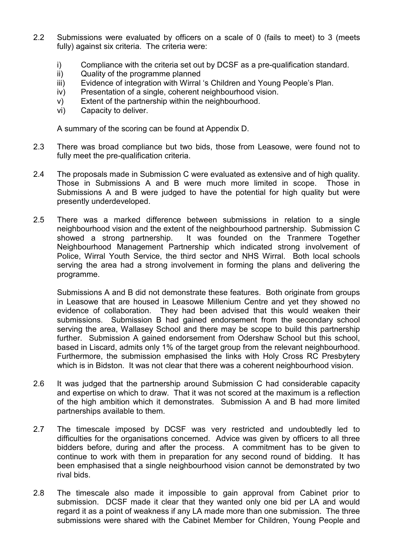- 2.2 Submissions were evaluated by officers on a scale of 0 (fails to meet) to 3 (meets fully) against six criteria. The criteria were:
	- i) Compliance with the criteria set out by DCSF as a pre-qualification standard.
	- ii) Quality of the programme planned
	- iii) Evidence of integration with Wirral 's Children and Young People's Plan.
	- iv) Presentation of a single, coherent neighbourhood vision.
	- v) Extent of the partnership within the neighbourhood.
	- vi) Capacity to deliver.

A summary of the scoring can be found at Appendix D.

- 2.3 There was broad compliance but two bids, those from Leasowe, were found not to fully meet the pre-qualification criteria.
- 2.4 The proposals made in Submission C were evaluated as extensive and of high quality. Those in Submissions A and B were much more limited in scope. Those in Submissions A and B were judged to have the potential for high quality but were presently underdeveloped.
- 2.5 There was a marked difference between submissions in relation to a single neighbourhood vision and the extent of the neighbourhood partnership. Submission C showed a strong partnership. It was founded on the Tranmere Together Neighbourhood Management Partnership which indicated strong involvement of Police, Wirral Youth Service, the third sector and NHS Wirral. Both local schools serving the area had a strong involvement in forming the plans and delivering the programme.

Submissions A and B did not demonstrate these features. Both originate from groups in Leasowe that are housed in Leasowe Millenium Centre and yet they showed no evidence of collaboration. They had been advised that this would weaken their submissions. Submission B had gained endorsement from the secondary school serving the area, Wallasey School and there may be scope to build this partnership further. Submission A gained endorsement from Odershaw School but this school. based in Liscard, admits only 1% of the target group from the relevant neighbourhood. Furthermore, the submission emphasised the links with Holy Cross RC Presbytery which is in Bidston. It was not clear that there was a coherent neighbourhood vision.

- 2.6 It was judged that the partnership around Submission C had considerable capacity and expertise on which to draw. That it was not scored at the maximum is a reflection of the high ambition which it demonstrates. Submission A and B had more limited partnerships available to them.
- 2.7 The timescale imposed by DCSF was very restricted and undoubtedly led to difficulties for the organisations concerned. Advice was given by officers to all three bidders before, during and after the process. A commitment has to be given to continue to work with them in preparation for any second round of bidding. It has been emphasised that a single neighbourhood vision cannot be demonstrated by two rival bids.
- 2.8 The timescale also made it impossible to gain approval from Cabinet prior to submission. DCSF made it clear that they wanted only one bid per LA and would regard it as a point of weakness if any LA made more than one submission. The three submissions were shared with the Cabinet Member for Children, Young People and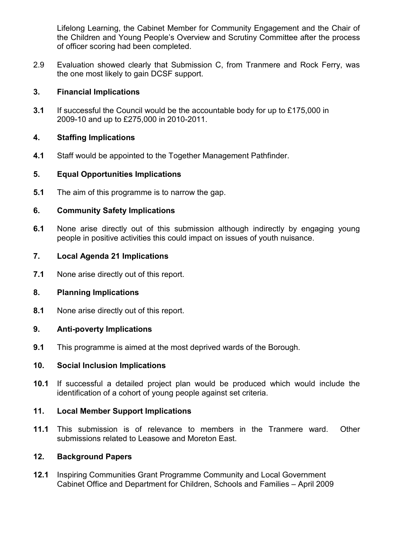Lifelong Learning, the Cabinet Member for Community Engagement and the Chair of the Children and Young People's Overview and Scrutiny Committee after the process of officer scoring had been completed.

2.9 Evaluation showed clearly that Submission C, from Tranmere and Rock Ferry, was the one most likely to gain DCSF support.

## 3. Financial Implications

3.1 If successful the Council would be the accountable body for up to £175,000 in 2009-10 and up to £275,000 in 2010-2011.

## 4. Staffing Implications

4.1 Staff would be appointed to the Together Management Pathfinder.

## 5. Equal Opportunities Implications

5.1 The aim of this programme is to narrow the gap.

## 6. Community Safety Implications

6.1 None arise directly out of this submission although indirectly by engaging young people in positive activities this could impact on issues of youth nuisance.

## 7. Local Agenda 21 Implications

7.1 None arise directly out of this report.

# 8. Planning Implications

8.1 None arise directly out of this report.

### 9. Anti-poverty Implications

**9.1** This programme is aimed at the most deprived wards of the Borough.

### 10. Social Inclusion Implications

10.1 If successful a detailed project plan would be produced which would include the identification of a cohort of young people against set criteria.

## 11. Local Member Support Implications

11.1 This submission is of relevance to members in the Tranmere ward. Other submissions related to Leasowe and Moreton East.

### 12. Background Papers

12.1 Inspiring Communities Grant Programme Community and Local Government Cabinet Office and Department for Children, Schools and Families – April 2009